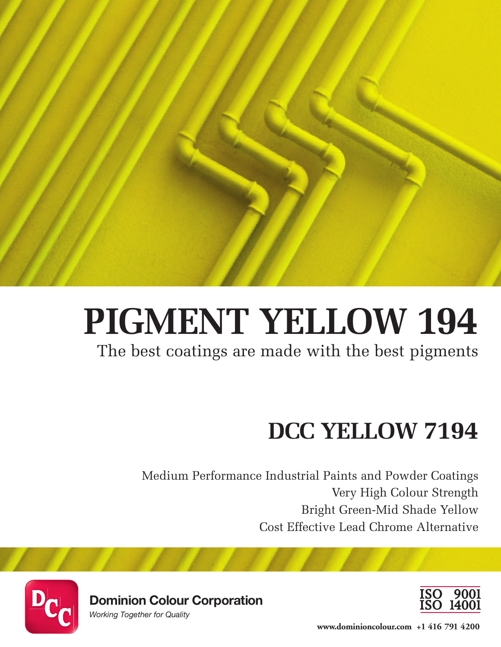

# **PIGMENT YELLOW 194**

The best coatings are made with the best pigments

# **DCC YELLOW 7194**

Medium Performance Industrial Paints and Powder Coatings Very High Colour Strength Bright Green-Mid Shade Yellow Cost Effective Lead Chrome Alternative



**Dominion Colour Corporation**

*Working Together for Quality*



**www.dominioncolour.com +1 416 791 4200**